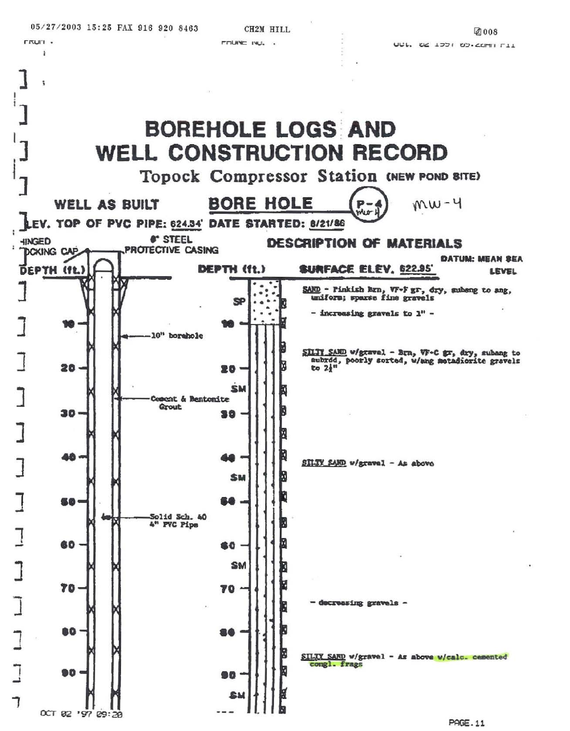rrun.